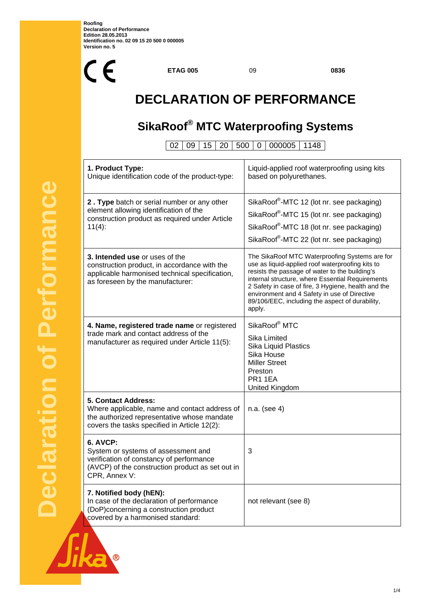

**ETAG 005** 09 **0836**

## **DECLARATION OF PERFORMANCE**

### **SikaRoof® MTC Waterproofing Systems**

02 09 15 20 500 0 000005 1148

| 1. Product Type:<br>Unique identification code of the product-type:                                                                                                        | Liquid-applied roof waterproofing using kits<br>based on polyurethanes.                                                                                                                                                                                                                                                                                                      |
|----------------------------------------------------------------------------------------------------------------------------------------------------------------------------|------------------------------------------------------------------------------------------------------------------------------------------------------------------------------------------------------------------------------------------------------------------------------------------------------------------------------------------------------------------------------|
| 2. Type batch or serial number or any other<br>element allowing identification of the<br>construction product as required under Article<br>$11(4)$ :                       | SikaRoof®-MTC 12 (lot nr. see packaging)<br>SikaRoof®-MTC 15 (lot nr. see packaging)<br>SikaRoof®-MTC 18 (lot nr. see packaging)<br>SikaRoof®-MTC 22 (lot nr. see packaging)                                                                                                                                                                                                 |
| 3. Intended use or uses of the<br>construction product, in accordance with the<br>applicable harmonised technical specification,<br>as foreseen by the manufacturer:       | The SikaRoof MTC Waterproofing Systems are for<br>use as liquid-applied roof waterproofing kits to<br>resists the passage of water to the building's<br>internal structure, where Essential Requirements<br>2 Safety in case of fire, 3 Hygiene, health and the<br>environment and 4 Safety in use of Directive<br>89/106/EEC, including the aspect of durability,<br>apply. |
| 4. Name, registered trade name or registered<br>trade mark and contact address of the<br>manufacturer as required under Article 11(5):                                     | SikaRoof <sup>®</sup> MTC<br>Sika Limited<br>Sika Liquid Plastics<br>Sika House<br><b>Miller Street</b><br>Preston<br>PR1 1EA<br>United Kingdom                                                                                                                                                                                                                              |
| <b>5. Contact Address:</b><br>Where applicable, name and contact address of<br>the authorized representative whose mandate<br>covers the tasks specified in Article 12(2): | n.a. (see 4)                                                                                                                                                                                                                                                                                                                                                                 |
| 6. AVCP:<br>System or systems of assessment and<br>verification of constancy of performance<br>(AVCP) of the construction product as set out in<br>CPR, Annex V:           | 3                                                                                                                                                                                                                                                                                                                                                                            |
| 7. Notified body (hEN):<br>In case of the declaration of performance<br>(DoP)concerning a construction product<br>covered by a harmonised standard:                        | not relevant (see 8)                                                                                                                                                                                                                                                                                                                                                         |

 $^{\circledR}$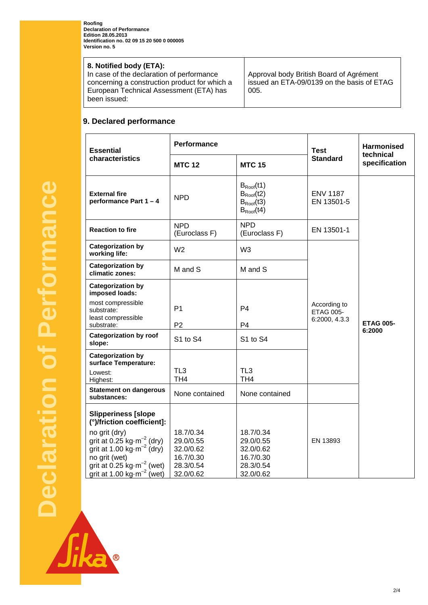**Roofing Declaration of Performance Edition 28.05.2013 Identification no. 02 09 15 20 500 0 000005 Version no. 5** 

#### **8. Notified body (ETA):**

In case of the declaration of performance concerning a construction product for which a European Technical Assessment (ETA) has been issued:

Approval body British Board of Agrément issued an ETA-09/0139 on the basis of ETAG 005.

### **9. Declared performance**

| <b>Essential</b>                                                                                                                                                                                                                                     | <b>Performance</b>                                                         |                                                                            | <b>Test</b>                                       | <b>Harmonised</b>          |  |
|------------------------------------------------------------------------------------------------------------------------------------------------------------------------------------------------------------------------------------------------------|----------------------------------------------------------------------------|----------------------------------------------------------------------------|---------------------------------------------------|----------------------------|--|
| characteristics                                                                                                                                                                                                                                      | <b>MTC 12</b><br><b>MTC 15</b>                                             |                                                                            | <b>Standard</b>                                   | technical<br>specification |  |
| <b>External fire</b><br>performance Part 1-4                                                                                                                                                                                                         | <b>NPD</b>                                                                 | $B_{Root}(t1)$<br>$B_{Root}(t2)$<br>$B_{Root}(t3)$<br>$B_{Root}(t4)$       | <b>ENV 1187</b><br>EN 13501-5                     |                            |  |
| <b>Reaction to fire</b>                                                                                                                                                                                                                              | <b>NPD</b><br><b>NPD</b><br>(Euroclass F)<br>(Euroclass F)                 |                                                                            | EN 13501-1                                        |                            |  |
| <b>Categorization by</b><br>working life:                                                                                                                                                                                                            | W <sub>2</sub>                                                             | W <sub>3</sub>                                                             |                                                   | <b>ETAG 005-</b>           |  |
| <b>Categorization by</b><br>climatic zones:                                                                                                                                                                                                          | M and S                                                                    | M and S                                                                    |                                                   |                            |  |
| <b>Categorization by</b><br>imposed loads:<br>most compressible<br>substrate:<br>least compressible<br>substrate:                                                                                                                                    | P <sub>1</sub><br>P <sub>2</sub>                                           | P4<br>P <sub>4</sub>                                                       | According to<br><b>ETAG 005-</b><br>6:2000, 4.3.3 |                            |  |
| <b>Categorization by roof</b><br>slope:                                                                                                                                                                                                              | S1 to S4                                                                   | S1 to S4                                                                   |                                                   | 6:2000                     |  |
| <b>Categorization by</b><br>surface Temperature:<br>Lowest:<br>Highest:<br><b>Statement on dangerous</b>                                                                                                                                             | TL <sub>3</sub><br>TH <sub>4</sub>                                         | TL <sub>3</sub><br>TH <sub>4</sub>                                         |                                                   |                            |  |
| substances:                                                                                                                                                                                                                                          | None contained                                                             | None contained                                                             |                                                   |                            |  |
| <b>Slipperiness [slope</b><br>(°)/friction coefficient]:<br>no grit (dry)<br>grit at 0.25 kg $\cdot$ m <sup>-2</sup> (dry)<br>grit at 1.00 kg $m^{-2}$ (dry)<br>no grit (wet)<br>grit at 0.25 $kg·m-2$ (wet)<br>grit at 1.00 $kg \cdot m^{-2}$ (wet) | 18.7/0.34<br>29.0/0.55<br>32.0/0.62<br>16.7/0.30<br>28.3/0.54<br>32.0/0.62 | 18.7/0.34<br>29.0/0.55<br>32.0/0.62<br>16.7/0.30<br>28.3/0.54<br>32.0/0.62 | EN 13893                                          |                            |  |

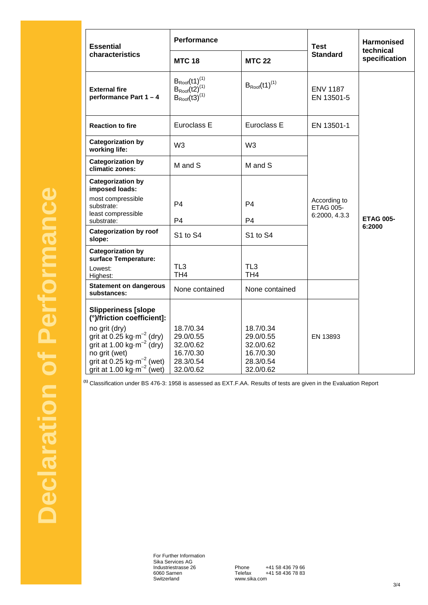| <b>Essential</b><br>characteristics                                                                                                                                | <b>Performance</b>                                                                                                       |                                                               | <b>Test</b>                      | <b>Harmonised</b><br>technical |  |
|--------------------------------------------------------------------------------------------------------------------------------------------------------------------|--------------------------------------------------------------------------------------------------------------------------|---------------------------------------------------------------|----------------------------------|--------------------------------|--|
|                                                                                                                                                                    | <b>MTC 18</b>                                                                                                            | <b>MTC 22</b>                                                 | <b>Standard</b>                  | specification                  |  |
| <b>External fire</b><br>performance Part 1 - 4                                                                                                                     | $\begin{array}{l} B_{\text{Root}}{(t1)}^{(1)} \\ B_{\text{Root}}{(t2)}^{(1)} \\ B_{\text{Root}}{(t3)}^{(1)} \end{array}$ | $B_{Root}(t1)^{(1)}$                                          | <b>ENV 1187</b><br>EN 13501-5    | <b>ETAG 005-</b><br>6:2000     |  |
| <b>Reaction to fire</b>                                                                                                                                            | Euroclass E                                                                                                              | Euroclass E                                                   | EN 13501-1                       |                                |  |
| <b>Categorization by</b><br>working life:                                                                                                                          | W <sub>3</sub>                                                                                                           | W <sub>3</sub>                                                |                                  |                                |  |
| <b>Categorization by</b><br>climatic zones:                                                                                                                        | M and S                                                                                                                  | M and S                                                       |                                  |                                |  |
| <b>Categorization by</b><br>imposed loads:                                                                                                                         |                                                                                                                          |                                                               |                                  |                                |  |
| most compressible<br>substrate:<br>least compressible                                                                                                              | P <sub>4</sub>                                                                                                           | P4                                                            | According to<br><b>ETAG 005-</b> |                                |  |
| substrate:                                                                                                                                                         | P4                                                                                                                       | P <sub>4</sub>                                                | 6:2000, 4.3.3                    |                                |  |
| <b>Categorization by roof</b><br>slope:                                                                                                                            | S1 to S4                                                                                                                 | S1 to S4                                                      |                                  |                                |  |
| <b>Categorization by</b><br>surface Temperature:                                                                                                                   |                                                                                                                          |                                                               |                                  |                                |  |
| Lowest:<br>Highest:                                                                                                                                                | TL <sub>3</sub><br>TH <sub>4</sub>                                                                                       | TL <sub>3</sub><br>TH <sub>4</sub>                            |                                  |                                |  |
| <b>Statement on dangerous</b><br>substances:                                                                                                                       | None contained                                                                                                           | None contained                                                |                                  |                                |  |
| <b>Slipperiness [slope</b><br>(°)/friction coefficient]:                                                                                                           |                                                                                                                          |                                                               |                                  |                                |  |
| no grit (dry)<br>grit at 0.25 kg $\cdot$ m <sup>-2</sup> (dry)<br>grit at 1.00 $\text{kg}\cdot\text{m}^{-2}$ (dry)<br>no grit (wet)<br>grit at 0.25 $kg·m-2$ (wet) | 18.7/0.34<br>29.0/0.55<br>32.0/0.62<br>16.7/0.30<br>28.3/0.54                                                            | 18.7/0.34<br>29.0/0.55<br>32.0/0.62<br>16.7/0.30<br>28.3/0.54 | EN 13893                         |                                |  |
| grit at 1.00 kg $\cdot$ m <sup>-2</sup> (wet)                                                                                                                      | 32.0/0.62                                                                                                                | 32.0/0.62                                                     |                                  |                                |  |

**(1)** Classification under BS 476-3: 1958 is assessed as EXT.F.AA. Results of tests are given in the Evaluation Report

For Further Information Sika Services AG Industriestrasse 26 6060 Sarnen Switzerland

Phone +41 58 436 79 66 Telefax +41 58 436 78 83 www.sika.com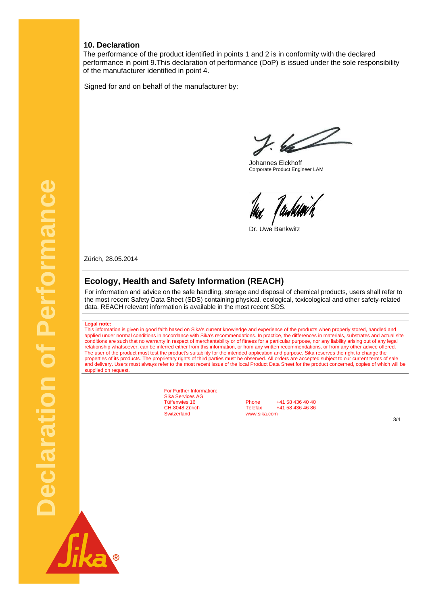#### **10. Declaration**

The performance of the product identified in points 1 and 2 is in conformity with the declared performance in point 9.This declaration of performance (DoP) is issued under the sole responsibility of the manufacturer identified in point 4.

Signed for and on behalf of the manufacturer by:

 $7.62$ 

 Johannes Eickhoff Corporate Product Engineer LAM

hu Tamkurh

Dr. Uwe Bankwitz

Zürich, 28.05.2014

#### **Ecology, Health and Safety Information (REACH)**

For information and advice on the safe handling, storage and disposal of chemical products, users shall refer to the most recent Safety Data Sheet (SDS) containing physical, ecological, toxicological and other safety-related data. REACH relevant information is available in the most recent SDS.

#### **Legal note:**

This information is given in good faith based on Sika's current knowledge and experience of the products when properly stored, handled and applied under normal conditions in accordance with Sika's recommendations. In practice, the differences in materials, substrates and actual site conditions are such that no warranty in respect of merchantability or of fitness for a particular purpose, nor any liability arising out of any legal relationship whatsoever, can be inferred either from this information, or from any written recommendations, or from any other advice offered. The user of the product must test the product's suitability for the intended application and purpose. Sika reserves the right to change the properties of its products. The proprietary rights of third parties must be observed. All orders are accepted subject to our current terms of sale and delivery. Users must always refer to the most recent issue of the local Product Data Sheet for the product concerned, copies of which will be supplied on request

> For Further Information: Sika Services AG

Tüffenwies 16 **Phone** +41 58 436 40 40<br>CH-8048 Zürich **Telefax** +41 58 436 46 86 CH-8048 Zürich Telefax +41 58 436 46 86<br>Switzerland www.sika.com www.sika.com

3/4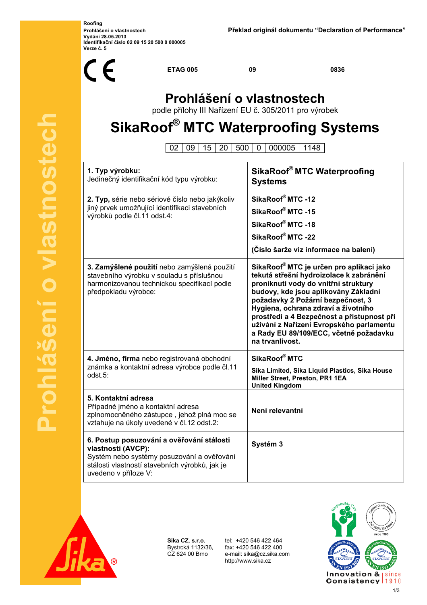**Roofing Vydání 28.05.2013 Identifikační číslo 02 09 15 20 500 0 000005 Verze č. 5** 



**ETAG 005 09 0836**

### **Prohlášení o vlastnostech**

podle přílohy III Nařízení EU č. 305/2011 pro výrobek

# **SikaRoof® MTC Waterproofing Systems**

02 09 15 20 500 0 000005 1148

| 1. Typ výrobku:<br>Jedinečný identifikační kód typu výrobku:                                                                                                                            | SikaRoof® MTC Waterproofing<br><b>Systems</b>                                                                                                                                                                                                                                                                                                                                                                      |
|-----------------------------------------------------------------------------------------------------------------------------------------------------------------------------------------|--------------------------------------------------------------------------------------------------------------------------------------------------------------------------------------------------------------------------------------------------------------------------------------------------------------------------------------------------------------------------------------------------------------------|
| 2. Typ, série nebo sériové číslo nebo jakýkoliv<br>jiný prvek umožňující identifikaci stavebních<br>výrobků podle čl.11 odst.4:                                                         | SikaRoof® MTC -12<br>SikaRoof® MTC -15<br>SikaRoof® MTC -18<br>SikaRoof® MTC -22<br>(Číslo šarže viz informace na balení)                                                                                                                                                                                                                                                                                          |
| 3. Zamýšlené použití nebo zamýšlená použití<br>stavebního výrobku v souladu s příslušnou<br>harmonizovanou technickou specifikací podle<br>předpokladu výrobce:                         | SikaRoof <sup>®</sup> MTC je určen pro aplikaci jako<br>tekutá střešní hydroizolace k zabránění<br>proniknutí vody do vnitřní struktury<br>budovy, kde jsou aplikovány Základní<br>požadavky 2 Požární bezpečnost, 3<br>Hygiena, ochrana zdraví a životního<br>prostředí a 4 Bezpečnost a přístupnost při<br>užívání z Nařízení Evropského parlamentu<br>a Rady EU 89/109/ECC, včetně požadavku<br>na trvanlivost. |
| 4. Jméno, firma nebo registrovaná obchodní<br>známka a kontaktní adresa výrobce podle čl.11<br>odst.5:                                                                                  | SikaRoof <sup>®</sup> MTC<br>Sika Limited, Sika Liquid Plastics, Sika House<br>Miller Street, Preston, PR1 1EA<br><b>United Kingdom</b>                                                                                                                                                                                                                                                                            |
| 5. Kontaktní adresa<br>Případné jméno a kontaktní adresa<br>zplnomocněného zástupce, jehož plná moc se<br>vztahuje na úkoly uvedené v čl.12 odst.2:                                     | Není relevantní                                                                                                                                                                                                                                                                                                                                                                                                    |
| 6. Postup posuzování a ověřování stálosti<br>vlastností (AVCP):<br>Systém nebo systémy posuzování a ověřování<br>stálosti vlastností stavebních výrobků, jak je<br>uvedeno v příloze V: | Systém 3                                                                                                                                                                                                                                                                                                                                                                                                           |



**Sika CZ, s.r.o.** Bystrcká 1132/36, CZ 624 00 Brno

 tel: +420 546 422 464 fax: +420 546 422 400 e-mail: sika@cz.sika.com http://www.sika.cz

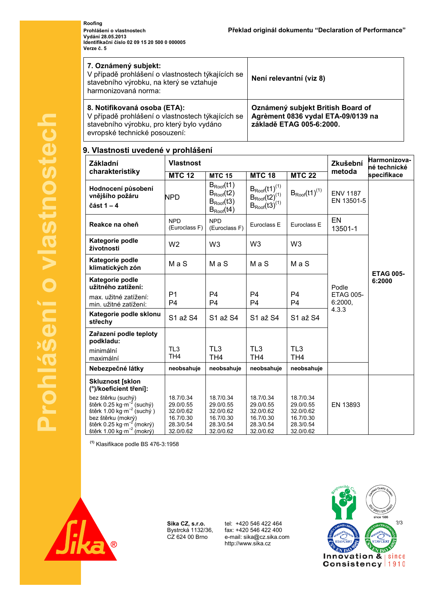**Roofing Vydání 28.05.2013 Identifikační číslo 02 09 15 20 500 0 000005 Verze č. 5** 

| 7. Oznámený subjekt:<br>V případě prohlášení o vlastnostech týkajících se<br>stavebního výrobku, na který se vztahuje<br>harmonizovaná norma:                   | Není relevantní (viz 8)                                                                             |  |  |
|-----------------------------------------------------------------------------------------------------------------------------------------------------------------|-----------------------------------------------------------------------------------------------------|--|--|
| 8. Notifikovaná osoba (ETA):<br>V případě prohlášení o vlastnostech týkajících se<br>stavebního výrobku, pro který bylo vydáno<br>evropské technické posouzení: | Oznámený subjekt British Board of<br>Agrèment 0836 vydal ETA-09/0139 na<br>základě ETAG 005-6:2000. |  |  |

#### **9. Vlastnosti uvedené v prohlášení**

| Základní                                                                                                                                                                                                       | <b>Vlastnost</b>                                                           |                                                                            |                                                                            | Zkušební                                                                   | Harmonizova-<br>né technické  |                            |
|----------------------------------------------------------------------------------------------------------------------------------------------------------------------------------------------------------------|----------------------------------------------------------------------------|----------------------------------------------------------------------------|----------------------------------------------------------------------------|----------------------------------------------------------------------------|-------------------------------|----------------------------|
| charakteristiky                                                                                                                                                                                                | <b>MTC 12</b>                                                              | <b>MTC 15</b>                                                              | <b>MTC 18</b>                                                              | <b>MTC 22</b>                                                              | metoda                        | specifikace                |
| Hodnocení působení<br>vnějšího požáru<br>část 1 $-4$                                                                                                                                                           | <b>NPD</b>                                                                 | $B_{Root}(t1)$<br>$B_{Root}(t2)$<br>$B_{Root}(t3)$<br>$B_{Root}(14)$       | $B_{Root}(t1)^{(1)}$<br>$B_{Root}(t2)^{(1)}$<br>$B_{Root}(t3)^{(1)}$       | $B_{Root}(t1)^{(1)}$                                                       | <b>ENV 1187</b><br>EN 13501-5 |                            |
| Reakce na oheň                                                                                                                                                                                                 | <b>NPD</b><br>(Euroclass F)                                                | <b>NPD</b><br>(Euroclass F)                                                | Euroclass E                                                                | Euroclass E                                                                | EN<br>13501-1                 |                            |
| Kategorie podle<br>životnosti                                                                                                                                                                                  | W <sub>2</sub>                                                             | W <sub>3</sub>                                                             | W <sub>3</sub>                                                             | W <sub>3</sub>                                                             |                               |                            |
| Kategorie podle<br>klimatických zón                                                                                                                                                                            | MaS                                                                        | MaS                                                                        | MaS                                                                        | MaS                                                                        |                               |                            |
| Kategorie podle<br>užitného zatížení:                                                                                                                                                                          |                                                                            |                                                                            | <b>P4</b>                                                                  | <b>P4</b>                                                                  | Podle                         | <b>ETAG 005-</b><br>6:2000 |
| max. užitné zatížení:<br>min. užitné zatížení:                                                                                                                                                                 | P <sub>1</sub><br>P <sub>4</sub>                                           | P4<br>P <sub>4</sub>                                                       | P <sub>4</sub>                                                             | <b>P4</b>                                                                  | <b>ETAG 005-</b><br>6:2000.   |                            |
| Kategorie podle sklonu<br>střechy                                                                                                                                                                              | S1 až S4                                                                   | S1 až S4                                                                   | S1 až S4                                                                   | S1 až S4                                                                   | 4.3.3                         |                            |
| Zařazení podle teploty<br>podkladu:                                                                                                                                                                            |                                                                            |                                                                            |                                                                            |                                                                            |                               |                            |
| minimální<br>maximální                                                                                                                                                                                         | TL3<br>TH <sub>4</sub>                                                     | TL <sub>3</sub><br>TH <sub>4</sub>                                         | TL <sub>3</sub><br>TH <sub>4</sub>                                         | TL <sub>3</sub><br>TH <sub>4</sub>                                         |                               |                            |
| Nebezpečné látky                                                                                                                                                                                               | neobsahuje                                                                 | neobsahuje                                                                 | neobsahuje                                                                 | neobsahuje                                                                 |                               |                            |
| <b>Skluznost [sklon</b><br>(°)/koeficient tření]:                                                                                                                                                              |                                                                            |                                                                            |                                                                            |                                                                            |                               |                            |
| bez štěrku (suchý)<br>štěrk 0.25 kg·m <sup>-2</sup> (suchý)<br>štěrk 1.00 kg $\cdot$ m $^{-2}$ (suchý)<br>bez štěrku (mokrý)<br>štěrk 0.25 kg·m <sup>-2</sup> (mokrý)<br>štěrk 1.00 kg·m <sup>-2</sup> (mokrý) | 18.7/0.34<br>29.0/0.55<br>32.0/0.62<br>16.7/0.30<br>28.3/0.54<br>32.0/0.62 | 18.7/0.34<br>29.0/0.55<br>32.0/0.62<br>16.7/0.30<br>28.3/0.54<br>32.0/0.62 | 18.7/0.34<br>29.0/0.55<br>32.0/0.62<br>16.7/0.30<br>28.3/0.54<br>32.0/0.62 | 18.7/0.34<br>29.0/0.55<br>32.0/0.62<br>16.7/0.30<br>28.3/0.54<br>32.0/0.62 | EN 13893                      |                            |

**(1)** Klasifikace podle BS 476-3:1958



**Sika CZ, s.r.o.** Bystrcká 1132/36, CZ 624 00 Brno

 fax: +420 546 422 400 e-mail: sika@cz.sika.com http://www.sika.cz